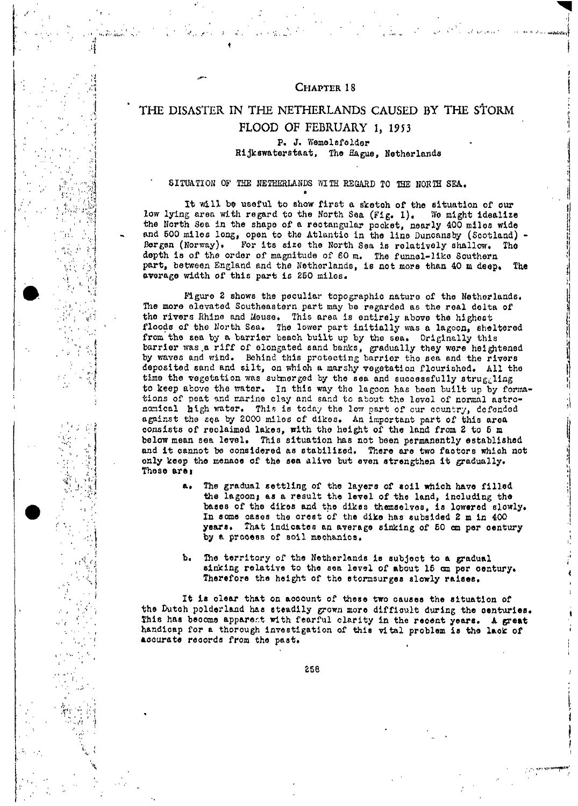### CHAPTER 18

# THE DISASTER IN THE NETHERLANDS CAUSED BY THE STORM FLOOD OF FEBRUARY 1, 1953

P. J. Wemelsfelder Rijkswaterstaat, The Hague, Netherlands

## SITUATION OF THE NETHERLANDS WITH REGARD TO THE NORTH SEA.

It will be useful to show first a sketch of the situation of our low lying area with regard to the North Sea (Fig. 1). We might idealize the North Sea in the shape of a rectangular pocket, nearly 400 miles wide and 500 miles long, open to the Atlantic in the line Duncansby (Scotland) For its size the North Sea is relatively shallow. The Bergen (Norway). depth is of the order of magnitude of 60 m. The funnel-like Southern part, between England and the Netherlands, is not more than 40 m deep. The average width of this part is 250 miles.

Figure 2 shows the peculiar topographic nature of the Netherlands. The more elevated Southeastern part may be regarded as the real delta of the rivers Rhine and Meuse. This area is entirely above the highest floods of the North Sea. The lower part initially was a lagoon, sheltered from the sea by a barrier beach built up by the sea. Originally this barrier was a riff of elongated sand banks, gradually they were heightened by waves and wind. Behind this protecting barrier the sea and the rivers deposited sand and silt, on which a marshy vegetation flourished. All the time the vegetation was submerged by the sea and successfully struggling to keep above the water. In this way the lagoon has been built up by formations of peat and marine clay and sand to about the level of normal astro-<br>nomical high water. This is today the low part of our country, defended against the sea by 2000 miles of dikes. An important part of this area consists of reclaimed lakes, with the height of the land from 2 to 5 m below mean sea level. This situation has not been permanently established and it cannot be considered as stabilized. There are two factors which not only keep the menace of the sea alive but even strengthen it gradually. These are:

- a. The gradual settling of the layers of soil which have filled the lagoon; as a result the level of the land, including the bases of the dikes and the dikes themselves, is lowered slowly. In some cases the crest of the dike has subsided 2 m in 400 years. That indicates an average sinking of 50 cm per century by a process of soil mechanics.
- The territory of the Netherlands is subject to a gradual  $b_{\bullet}$ sinking relative to the sea level of about 15 om per century. Therefore the height of the stormsurges slowly raises.

It is clear that on account of these two causes the situation of the Dutch polderland has steadily grown more difficult during the centuries. This has become apparent with fearful clarity in the recent years. A great handicap for a thorough investigation of this vital problem is the lack of accurate records from the past.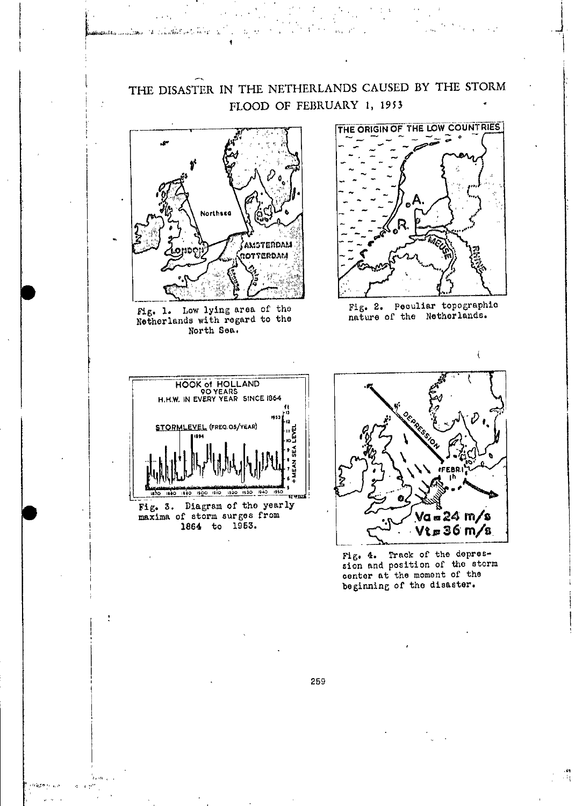

ลันเป็นได้ใน และเจ้าสีที่สาร ได้ " เจ้าเจ้าให้เป็นเป็นเป็นเป็น

Fig. 1. Low lying area of the Netherlands with regard to the North Sea.



Fig. 2. Peculiar topographic nature of the Netherlands.





Fig. 4. Track of the depression and position of the storm<br>center at the moment of the<br>beginning of the disaster.

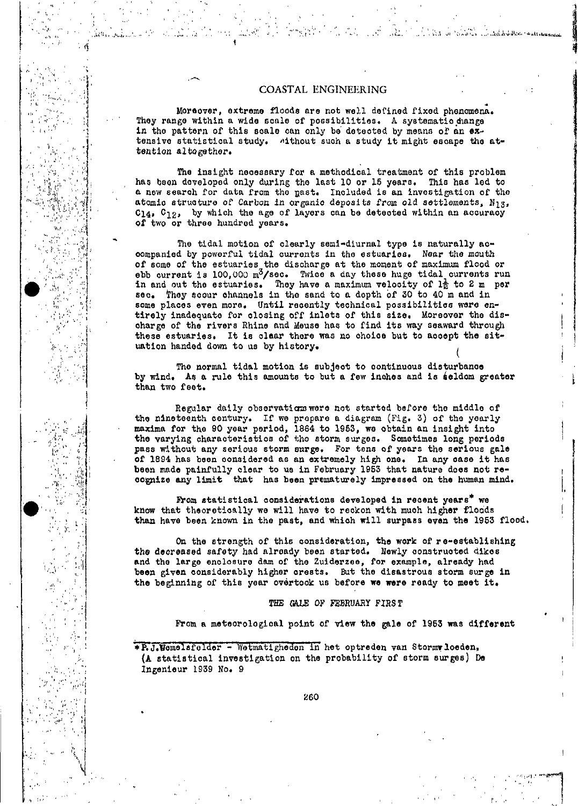## COASTAL ENGINEERING

in a sure to write the state of the film was remained

Moreover, extreme floods are not well defined fixed phenomena. They range within a wide scale of possibilities. A systematic hange in the pattern of this scale can only be detected by means of an extensive statistical study. "ithout such a study it might escape the attention altogether.

The insight necessary for a methodical treatment of this problem has been developed only during the last 10 or 15 years. This has led to a new search for data from the past. Included is an investigation of the atomic structure of Carbon in organic deposits from old settlements, N<sub>13</sub>, C14, C<sub>12</sub>, by which the age of layers can be detected within an accuracy of two or three hundred years.

The tidal motion of clearly semi-diurnal type is naturally accompanied by powerful tidal currents in the estuaries. Near the mouth of some of the estuaries the discharge at the moment of maximum flood or<br>abb current is 100,000 m<sup>3</sup>/sec. Twice a day these huge tidal currents run<br>in and out the estuaries. They have a maximum velocity of  $1\frac{1}{6}$  to 2 some places even more. Until recently technical possibilities were entirely inadequate for closing off inlets of this size. Moreover the discharge of the rivers Rhine and Meuse has to find its way seaward through these estuaries. It is claar there was no choice but to accept the situation handed down to us by history.

The normal tidal motion is subject to continuous disturbance by wind. As a rule this amounts to but a few inches and is seldom greater than two feet.

Regular daily observations were not started before the middle of the nineteenth century. If we prepare a diagram (Fig. 3) of the yearly maxima for the 90 year period, 1864 to 1953, we obtain an insight into the varying characteristics of the storm surges. Sometimes long periods pass without any serious storm surge. For tens of years the serious gale of 1894 has been considered as an extremely high one. In any case it has been made painfully clear to us in February 1953 that nature does not recognize any limit that has been prematurely impressed on the human mind.

From statistical considerations developed in recent years\* we know that theoretically we will have to reckon with much higher floods than have been known in the past, and which will surpass even the 1953 flood.

On the strength of this consideration, the work of re-establishing the decreased safety had already been started. Newly constructed dikes and the large enclosure dam of the Zuiderzee, for example, already had been given considerably higher crests. But the disastrous storm surge in the beginning of this year overtook us before we were ready to meet it.

#### THE GALE OF FEBRUARY FIRST

From a meteorological point of view the gale of 1953 was different

\* R. J. Wemelsfelder - Wetmatigheden in het optreden van Stormy loeden, (A statistical investigation on the probability of storm surges) De Ingenieur 1939 No. 9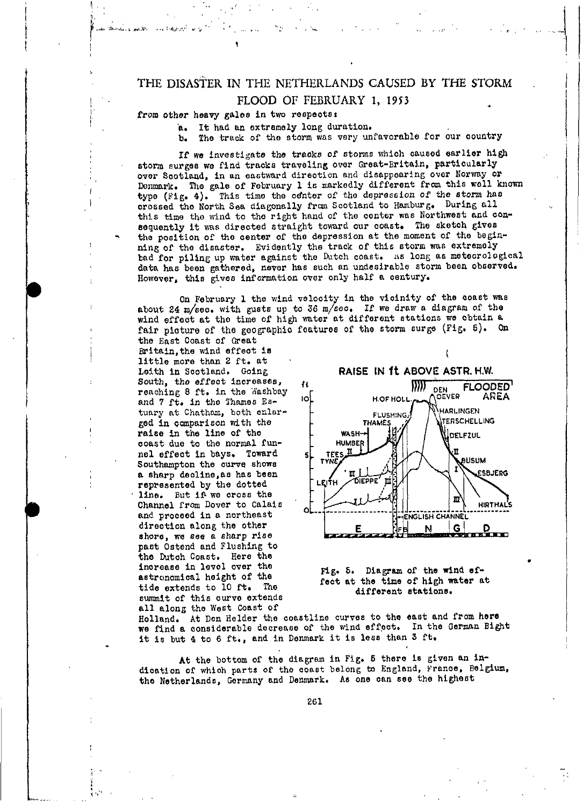#### from other heavy gales in two respects:

aleric London Win

a. It had an extremely long duration.

b. The track of the storm was very unfavorable for our country

If we investigate the tracks of storms which caused earlier high storm surges we find tracks traveling over Great-Britain, particularly over Scotland, in an eastward direction and disappearing over Norway or Donmark. The gale of February 1 is markedly different from this well known type (Fig. 4). This time the center of the depression of the storm has crossed the North Sea diagonally from Scotland to Hamburg. During all this time the wind to the right hand of the center was Northwest and consequently it was directed straight toward our coast. The sketch gives the position of the center of the depression at the moment of the beginning of the disaster. Evidently the track of this storm was extremely bad for piling up water against the Dutch coast. As long as meteorological data has been gathered, never has such an undesirable storm been observed. However, this gives information over only half a century.

On February 1 the wind velocity in the vicinity of the coast was about 24 m/sec. with gusts up to 36 m/sec. If we draw a diagram of the wind effect at the time of high water at different stations we obtain a fair picture of the geographic features of the storm surge (Fig. 5). On

the East Coast of Great Britain, the wind effect is little more than 2 ft. at Leith in Scotland. Going South, the effect increases, reaching 8 ft. in the Washbay and 7 ft. in the Thames Estuary at Chatham, both enlarged in comparison with the raise in the line of the coast due to the normal funnel effect in bays. Toward Southampton the curve shows a sharp decline, as has been represented by the dotted line. But if we cross the Channel from Dover to Calais and proceed in a northeast direction along the other shore, we see a sharp rise past Ostend and Flushing to the Dutch Coast. Here the increase in level over the astronomical height of the tide extends to 10 ft. The summit of this curve extends all along the West Coast of



t



Holland. At Den Helder the coastline curves to the east and from here we find a considerable decrease of the wind effect. In the German Bight it is but 4 to 6 ft., and in Denmark it is less than 3 ft.

At the bottom of the diagram in Fig. 5 there is given an indication of which parts of the coast belong to England, France, Belgium, the Netherlands, Germany and Denmark. As one can see the highest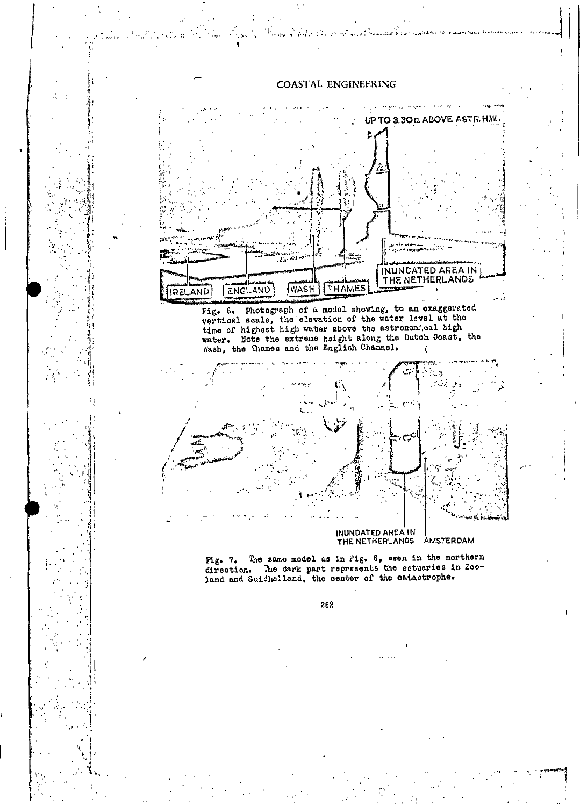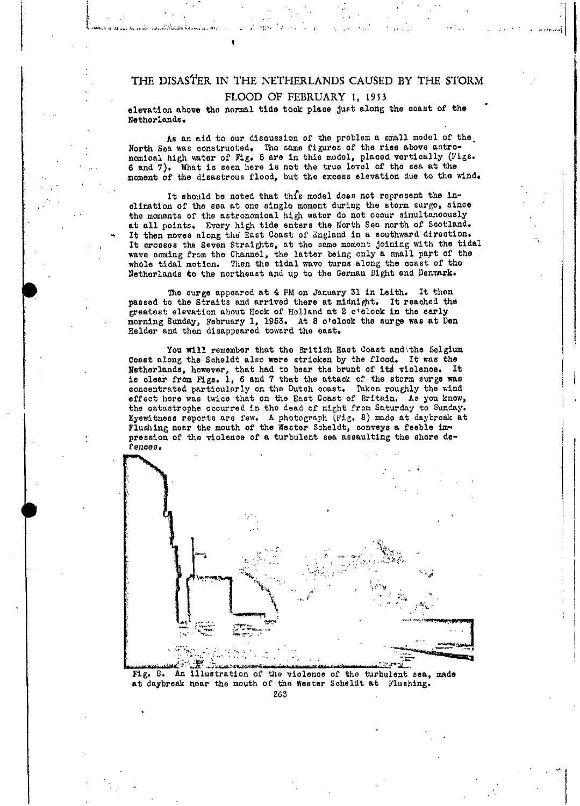elevation above the normal tide took place just along the coast of the Netherlands.

As an aid to our discussion of the problem a small model of the North Sea was constructed. The same figures of the rise above astro-<br>nomical high water of Fig. 5 are in this model, placed vertically (Figs. 6 and 7). What is seen here is not the true level of the sea at the moment of the disastrous flood, but the excess elevation due to the wind.

It should be noted that this model does not represent the inclination of the sea at one single moment during the storm surge, since the moments of the astronomical high water do not occur simultaneously at all points. Every high tide enters the North Sea north of Scotland. It then moves along the East Coast of England in a southward direction. It crosses the Seven Straights, at the same moment joining with the tidal wave coming from the Channel, the latter being only a small part of the whole tidal motion. Then the tidal wave turns along the coast of the Netherlands to the northeast and up to the German Bight and Denmark.

The surge appeared at 4 PM on January 31 in Leith. It then passed to the Straits and arrived there at midnight. It reached the greatest elevation about Hook of Holland at 2 o'clock in the early morning Sunday, February 1, 1953. At 8 o'clook the surge was at Den Helder and then disappeared toward the east.

You will remember that the British East Coast and the Belgium Coast along the Scheldt also were stricken by the flood. It was the Netherlands, however, that had to bear the brunt of its violence. It is olear from Figs. 1, 6 and 7 that the attack of the storm surge was concentrated particularly on the Dutch coast. Taken roughly the wind effect here was twice that on the East Coast of Britain. As you know, the catastrophe occurred in the dead of night from Saturday to Sunday. Eyewitness reports are few. A photograph (Fig. 8) made at daybreak at Flushing near the mouth of the Wester Scheldt, conveys a feeble impression of the violence of a turbulent sea assaulting the shore defances.



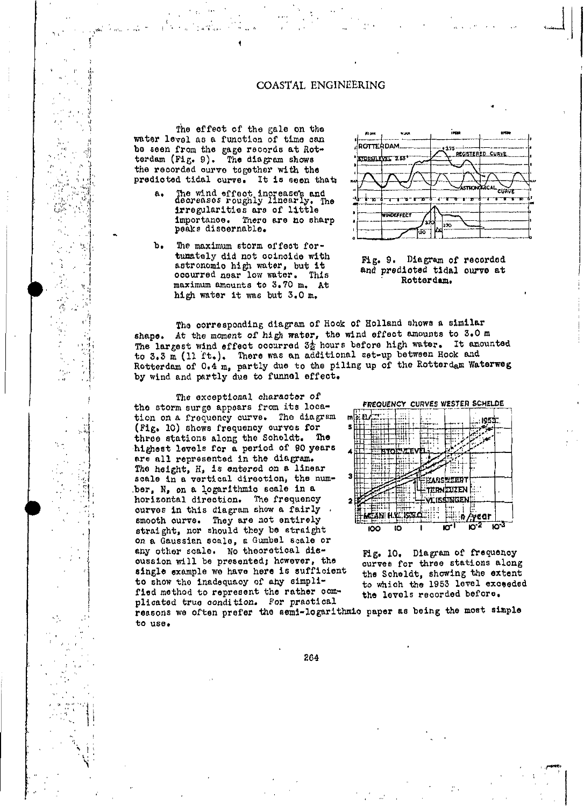## COASTAL ENGINEERING

The effect of the gale on the water level as a function of time can be seen from the gage records at Rotterdam (Fig. 9). The diagram shows the recorded curve together with the predicted tidal curve. It is seen that:

- The wind effect increase's and<br>decreases roughly linearly. The  $a.$ irregularities are of little importance. There are no sharp peaks discornable.
- ъ. The maximum storm effect fortumately did not coincide with astronomic high water, but it ocourred near low water. This maximum amounts to 3.70 m. At high water it was but 3.0 m.

Ą





The corresponding diagram of Hook of Holland shows a similar shape. At the moment of high water, the wind effect amounts to 3.0 m The largest wind effect occurred 3<sup>t</sup> hours before high water. It amounted to 3.3 m (11 ft.). There was an additional set-up between Hook and Rotterdam of 0.4 m, partly due to the piling up of the Rotterdam Waterweg by wind and partly due to funnel effect.

The exceptional character of the storm surge appears from its location on a frequency curve. The diagram (Fig. 10) shows frequency curves for three stations along the Scheldt. The highest levels for a period of 90 years are all represented in the diagram. The height, H, is entered on a linear scale in a vertical direction, the number, N, on a logarithmic scale in a horizontal direction. The frequency curves in this diagram show a fairly smooth curve. They are not entirely straight, nor should they be straight on a Gaussian scale, a Gumbel scale or any other scale. No theoretical discussion will be presented; however, the single example we have here is sufficient to show the inadequacy of any simplified method to represent the rather complicated true condition. For practical



Fig. 10. Diagram of frequency curves for three stations along the Scheldt, showing the extent to which the 1953 level exceeded the levels recorded before.

reasons we often prefer the semi-logarithmic paper as being the most simple to use.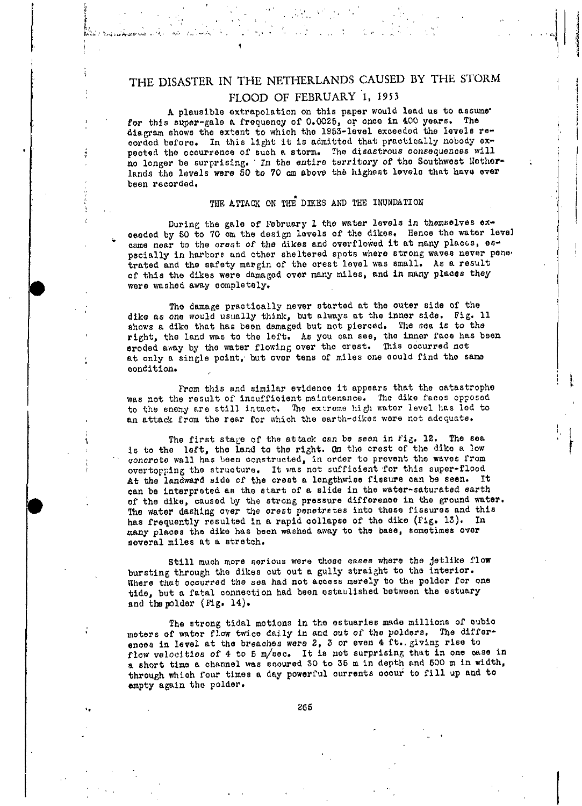$\mathcal{L}_{\mathcal{M}}(\mathcal{F})$  ,  $\mathcal{M}$ 

.<br>Marit Benjama Anaski selat selatan terletak di serika

 $\sqrt{2}$  ,  $\sqrt{2}$  ,  $\sqrt{2}$ 

A plausible extrapolation on this paper would lead us to assume. for this super-gale a frequency of 0.0025, or once in 400 years. The diagram shows the extent to which the 1953-level exceeded the levels recorded before. In this light it is admitted that practically nobody expected the occurrence of such a storm. The disastrous consequences will no longer be surprising. In the entire territory of the Southwest Netherlands the levels were 50 to 70 cm above the highest levels that have ever been recorded.

## THE ATTACK ON THE DIKES AND THE INUNDATION

During the gale of February 1 the water levels in themselves exceeded by 50 to 70 cm the design levels of the dikes. Hence the water level came near to the crest of the dikes and overflowed it at many places, especially in harbors and other sheltered spots where strong waves never pene. trated and the safety margin of the crest level was small. As a result of this the dikes were damaged over many miles, and in many places they were washed away completely.

The damage practically never started at the outer side of the dike as one would usually think, but always at the inner side. Fig. 11 shows a dike that has been damaged but not pierced. The sea is to the right, the land was to the left. As you can see, the inner face has been eroded away by the water flowing over the crest. This occurred not at only a single point, but over tens of miles one could find the same condition.

From this and similar evidence it appears that the catastrophe was not the result of insufficient maintenance. The dike faces opposed to the enemy are still intact. The extreme high water level has led to an attack from the rear for which the earth-dikes were not adequate.

The first stage of the attack can be seen in Fig. 12. The sea is to the left, the land to the right. On the crest of the dike a low concrete wall has been constructed, in order to prevent the waves from overtopping the structure. It was not sufficient for this super-flood At the landward side of the crest a lengthwise fissure can be seen. It can be interpreted as the start of a slide in the water-saturated earth of the dike, caused by the strong pressure difference in the ground water. The water dashing over the crest penetrates into these fissures and this has frequently resulted in a rapid collapse of the dike (Fig. 13). In many places the dike has been washed away to the base, sometimes over several miles at a stretch.

Still much more serious were those cases where the jetlike flow bursting through the dikes cut out a gully straight to the interior. Where that occurred the sea had not access merely to the polder for one tide, but a fatal connection had been established between the estuary and the polder (Fig. 14).

The strong tidal motions in the estuaries made millions of cubio meters of water flow twice daily in and out of the polders. The differences in level at the breaches were 2, 3 or even 4 ft. giving rise to flow velocities of 4 to 5 m/sec. It is not surprising that in one case in a short time a channel was scoured 30 to 35 m in depth and 500 m in width, through which four times a day powerful currents occur to fill up and to empty again the polder.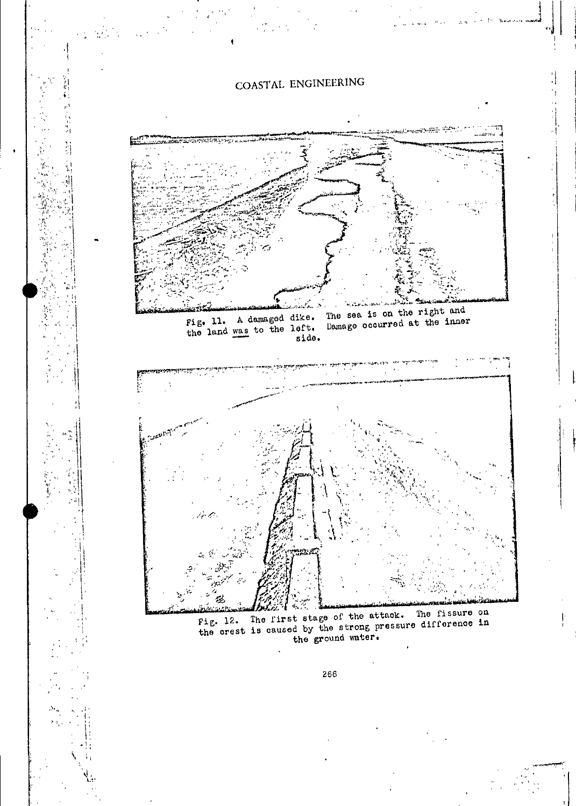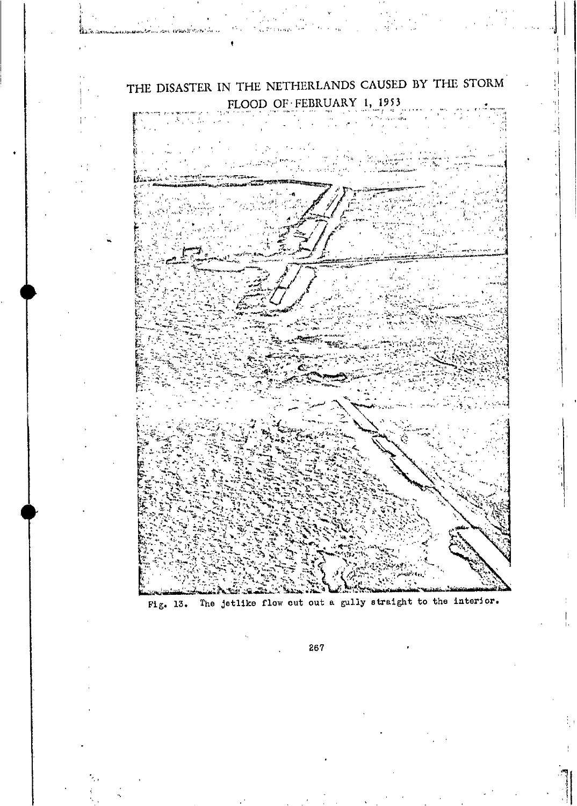

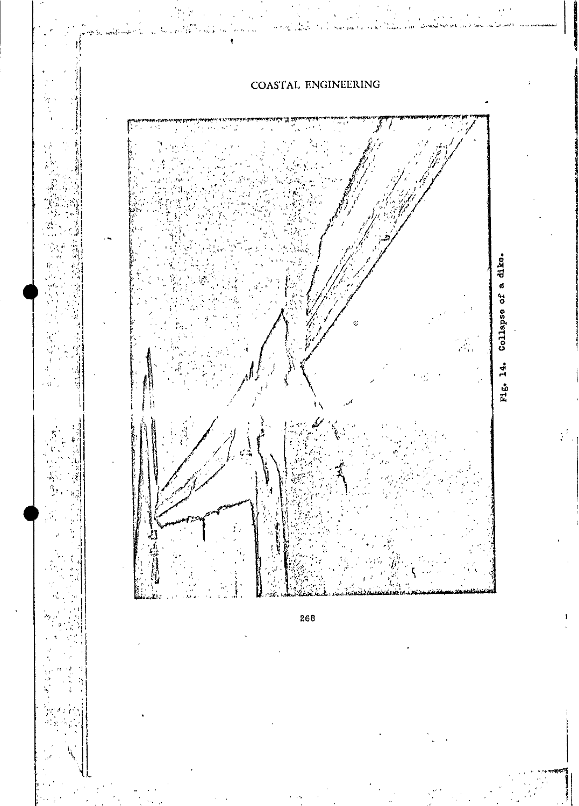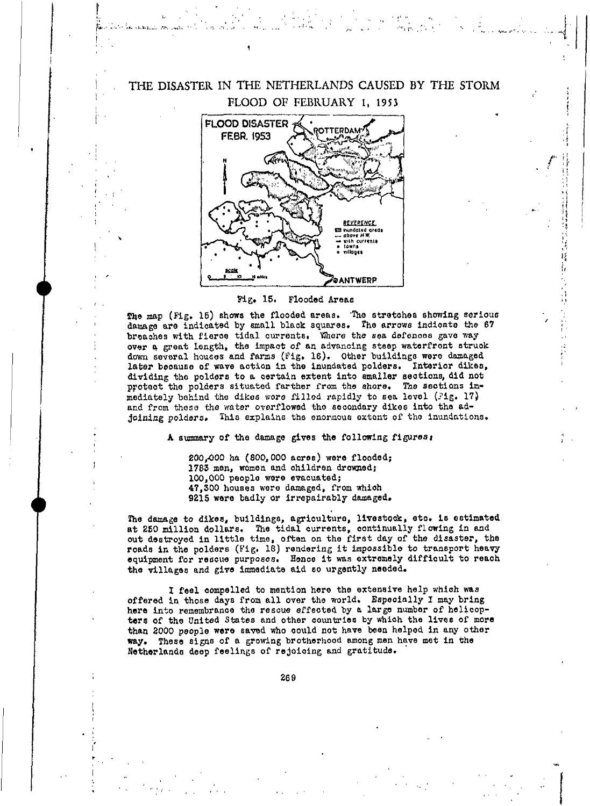![](_page_11_Picture_0.jpeg)

#### Fig. 15. Flooded Areas

The map (Fig. 15) shows the flooded areas. The stretches showing serious damage are indicated by small black squares. The arrows indicate the 67 breaches with fierce tidal currents. Where the sea defences gave way over a great length, the impact of an advancing steep waterfront struck down several houses and farms (Fig. 16). Other buildings were damaged later because of wave action in the inundated polders. Interior dikes, dividing the polders to a certain extent into smaller sections, did not protect the polders situated farther from the shore. The sections immediately behind the dikes were filled rapidly to sea lovel  $(31g, 17)$ and from these the water overflowed the secondary dikes into the adjoining polders. This explains the enormous extent of the inundations.

A summary of the damage gives the following figures:

200,000 ha (800,000 acres) were flooded; 1783 men, women and children drowned; 100,000 people were evacuated; 47,300 houses were damaged, from which 9215 were badly or irrepairably damaged.

The damage to dikes, buildings, agriculture, livestock, etc. is estimated at 250 million dollars. The tidal currents, continually flowing in and out destroyed in little time, often on the first day of the disaster, the roads in the polders (Fig. 18) rendering it impossible to transport heavy equipment for rescue purposes. Hence it was extremely difficult to reach the villages and give immediate aid so urgently needed.

I feel compelled to mention here the extensive help which was offered in those days from all over the world. Especially I may bring here into remembrance the rescue effected by a large number of helicopters of the United States and other countries by which the lives of more than 2000 people were saved who could not have been helped in any other way. These signs of a growing brotherhood among men have met in the Netherlands deep feelings of rejoicing and gratitude.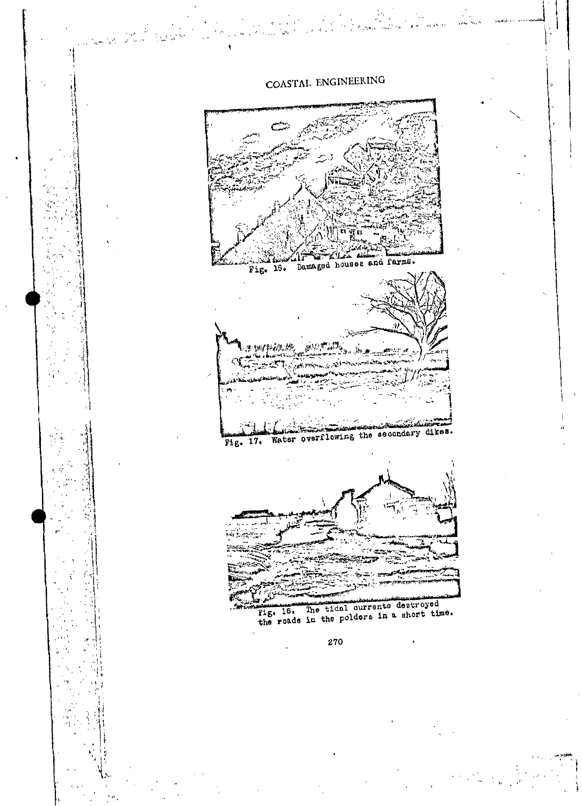![](_page_12_Figure_0.jpeg)